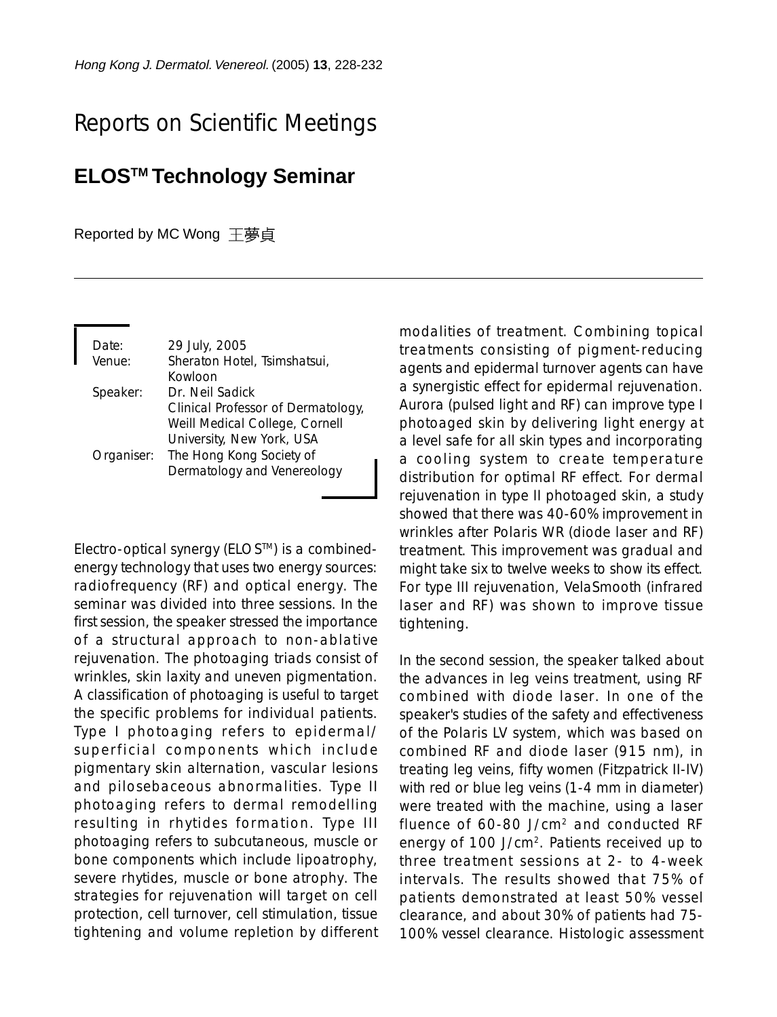## Reports on Scientific Meetings

## **ELOSTM Technology Seminar**

Reported by MC Wong 王夢貞

| Date:      | 29 July, 2005                                           |
|------------|---------------------------------------------------------|
| Venue:     | Sheraton Hotel, Tsimshatsui,<br>Kowloon                 |
| Speaker:   | Dr. Neil Sadick<br>Clinical Professor of Dermatology,   |
|            | Weill Medical College, Cornell                          |
|            | University, New York, USA                               |
| Organiser: | The Hong Kong Society of<br>Dermatology and Venereology |

Electro-optical synergy (ELOSTM) is a combinedenergy technology that uses two energy sources: radiofrequency (RF) and optical energy. The seminar was divided into three sessions. In the first session, the speaker stressed the importance of a structural approach to non-ablative rejuvenation. The photoaging triads consist of wrinkles, skin laxity and uneven pigmentation. A classification of photoaging is useful to target the specific problems for individual patients. Type I photoaging refers to epidermal/ superficial components which include pigmentary skin alternation, vascular lesions and pilosebaceous abnormalities. Type II photoaging refers to dermal remodelling resulting in rhytides formation. Type III photoaging refers to subcutaneous, muscle or bone components which include lipoatrophy, severe rhytides, muscle or bone atrophy. The strategies for rejuvenation will target on cell protection, cell turnover, cell stimulation, tissue tightening and volume repletion by different modalities of treatment. Combining topical treatments consisting of pigment-reducing agents and epidermal turnover agents can have a synergistic effect for epidermal rejuvenation. Aurora (pulsed light and RF) can improve type I photoaged skin by delivering light energy at a level safe for all skin types and incorporating a cooling system to create temperature distribution for optimal RF effect. For dermal rejuvenation in type II photoaged skin, a study showed that there was 40-60% improvement in wrinkles after Polaris WR (diode laser and RF) treatment. This improvement was gradual and might take six to twelve weeks to show its effect. For type III rejuvenation, VelaSmooth (infrared laser and RF) was shown to improve tissue tightening.

In the second session, the speaker talked about the advances in leg veins treatment, using RF combined with diode laser. In one of the speaker's studies of the safety and effectiveness of the Polaris LV system, which was based on combined RF and diode laser (915 nm), in treating leg veins, fifty women (Fitzpatrick II-IV) with red or blue leg veins (1-4 mm in diameter) were treated with the machine, using a laser fluence of 60-80 J/cm2 and conducted RF energy of 100 J/cm2. Patients received up to three treatment sessions at 2- to 4-week intervals. The results showed that 75% of patients demonstrated at least 50% vessel clearance, and about 30% of patients had 75- 100% vessel clearance. Histologic assessment